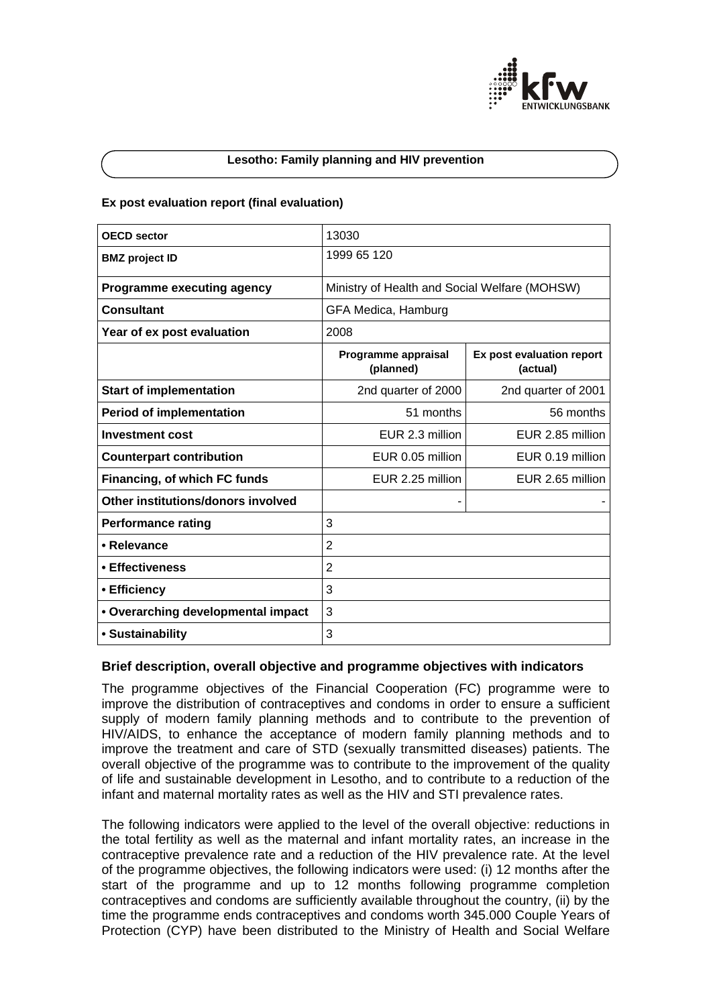

### **Lesotho: Family planning and HIV prevention**

### **Ex post evaluation report (final evaluation)**

| <b>OECD</b> sector                 | 13030                                         |                                       |
|------------------------------------|-----------------------------------------------|---------------------------------------|
| <b>BMZ</b> project ID              | 1999 65 120                                   |                                       |
| <b>Programme executing agency</b>  | Ministry of Health and Social Welfare (MOHSW) |                                       |
| <b>Consultant</b>                  | GFA Medica, Hamburg                           |                                       |
| Year of ex post evaluation         | 2008                                          |                                       |
|                                    | Programme appraisal<br>(planned)              | Ex post evaluation report<br>(actual) |
| <b>Start of implementation</b>     | 2nd quarter of 2000                           | 2nd quarter of 2001                   |
| <b>Period of implementation</b>    | 51 months                                     | 56 months                             |
| <b>Investment cost</b>             | EUR 2.3 million                               | EUR 2.85 million                      |
| <b>Counterpart contribution</b>    | EUR 0.05 million                              | EUR 0.19 million                      |
| Financing, of which FC funds       | EUR 2.25 million                              | EUR 2.65 million                      |
| Other institutions/donors involved |                                               |                                       |
| <b>Performance rating</b>          | 3                                             |                                       |
| • Relevance                        | $\overline{2}$                                |                                       |
| • Effectiveness                    | $\overline{2}$                                |                                       |
| • Efficiency                       | 3                                             |                                       |
| • Overarching developmental impact | 3                                             |                                       |
| • Sustainability                   | 3                                             |                                       |

## **Brief description, overall objective and programme objectives with indicators**

The programme objectives of the Financial Cooperation (FC) programme were to improve the distribution of contraceptives and condoms in order to ensure a sufficient supply of modern family planning methods and to contribute to the prevention of HIV/AIDS, to enhance the acceptance of modern family planning methods and to improve the treatment and care of STD (sexually transmitted diseases) patients. The overall objective of the programme was to contribute to the improvement of the quality of life and sustainable development in Lesotho, and to contribute to a reduction of the infant and maternal mortality rates as well as the HIV and STI prevalence rates.

The following indicators were applied to the level of the overall objective: reductions in the total fertility as well as the maternal and infant mortality rates, an increase in the contraceptive prevalence rate and a reduction of the HIV prevalence rate. At the level of the programme objectives, the following indicators were used: (i) 12 months after the start of the programme and up to 12 months following programme completion contraceptives and condoms are sufficiently available throughout the country, (ii) by the time the programme ends contraceptives and condoms worth 345.000 Couple Years of Protection (CYP) have been distributed to the Ministry of Health and Social Welfare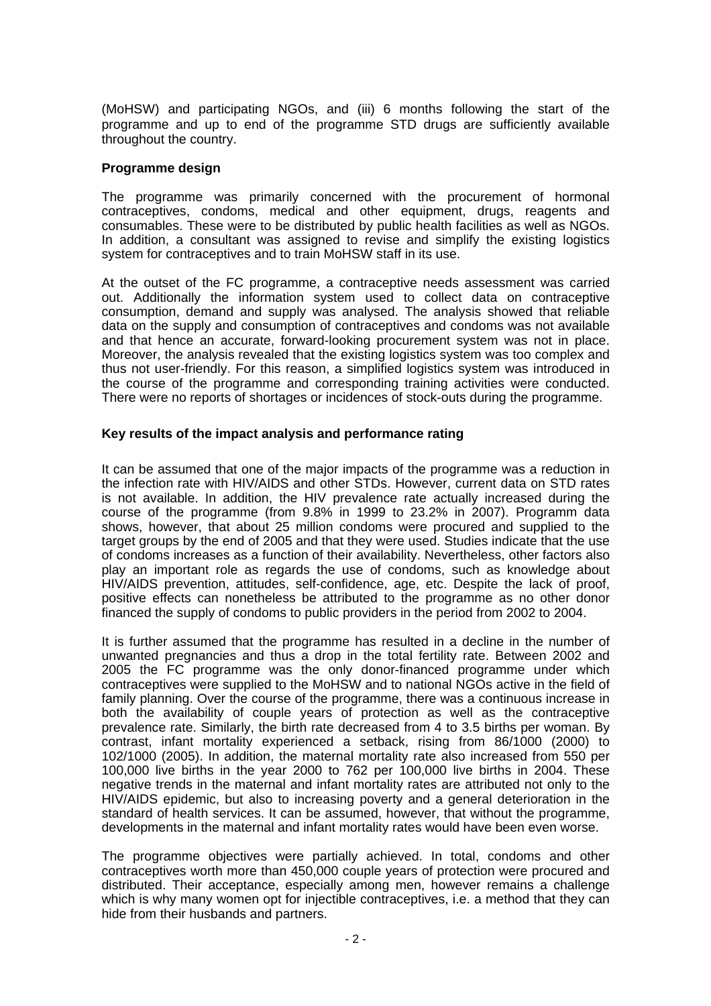(MoHSW) and participating NGOs, and (iii) 6 months following the start of the programme and up to end of the programme STD drugs are sufficiently available throughout the country.

# **Programme design**

The programme was primarily concerned with the procurement of hormonal contraceptives, condoms, medical and other equipment, drugs, reagents and consumables. These were to be distributed by public health facilities as well as NGOs. In addition, a consultant was assigned to revise and simplify the existing logistics system for contraceptives and to train MoHSW staff in its use.

At the outset of the FC programme, a contraceptive needs assessment was carried out. Additionally the information system used to collect data on contraceptive consumption, demand and supply was analysed. The analysis showed that reliable data on the supply and consumption of contraceptives and condoms was not available and that hence an accurate, forward-looking procurement system was not in place. Moreover, the analysis revealed that the existing logistics system was too complex and thus not user-friendly. For this reason, a simplified logistics system was introduced in the course of the programme and corresponding training activities were conducted. There were no reports of shortages or incidences of stock-outs during the programme.

# **Key results of the impact analysis and performance rating**

It can be assumed that one of the major impacts of the programme was a reduction in the infection rate with HIV/AIDS and other STDs. However, current data on STD rates is not available. In addition, the HIV prevalence rate actually increased during the course of the programme (from 9.8% in 1999 to 23.2% in 2007). Programm data shows, however, that about 25 million condoms were procured and supplied to the target groups by the end of 2005 and that they were used. Studies indicate that the use of condoms increases as a function of their availability. Nevertheless, other factors also play an important role as regards the use of condoms, such as knowledge about HIV/AIDS prevention, attitudes, self-confidence, age, etc. Despite the lack of proof, positive effects can nonetheless be attributed to the programme as no other donor financed the supply of condoms to public providers in the period from 2002 to 2004.

It is further assumed that the programme has resulted in a decline in the number of unwanted pregnancies and thus a drop in the total fertility rate. Between 2002 and 2005 the FC programme was the only donor-financed programme under which contraceptives were supplied to the MoHSW and to national NGOs active in the field of family planning. Over the course of the programme, there was a continuous increase in both the availability of couple years of protection as well as the contraceptive prevalence rate. Similarly, the birth rate decreased from 4 to 3.5 births per woman. By contrast, infant mortality experienced a setback, rising from 86/1000 (2000) to 102/1000 (2005). In addition, the maternal mortality rate also increased from 550 per 100,000 live births in the year 2000 to 762 per 100,000 live births in 2004. These negative trends in the maternal and infant mortality rates are attributed not only to the HIV/AIDS epidemic, but also to increasing poverty and a general deterioration in the standard of health services. It can be assumed, however, that without the programme, developments in the maternal and infant mortality rates would have been even worse.

The programme objectives were partially achieved. In total, condoms and other contraceptives worth more than 450,000 couple years of protection were procured and distributed. Their acceptance, especially among men, however remains a challenge which is why many women opt for injectible contraceptives, i.e. a method that they can hide from their husbands and partners.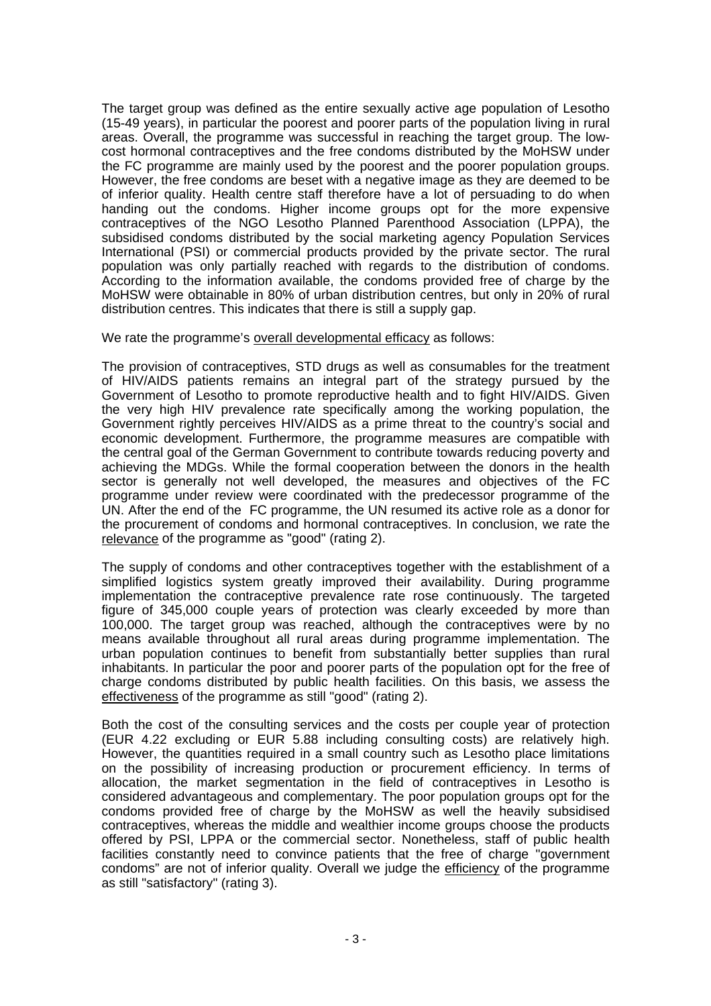The target group was defined as the entire sexually active age population of Lesotho (15-49 years), in particular the poorest and poorer parts of the population living in rural areas. Overall, the programme was successful in reaching the target group. The lowcost hormonal contraceptives and the free condoms distributed by the MoHSW under the FC programme are mainly used by the poorest and the poorer population groups. However, the free condoms are beset with a negative image as they are deemed to be of inferior quality. Health centre staff therefore have a lot of persuading to do when handing out the condoms. Higher income groups opt for the more expensive contraceptives of the NGO Lesotho Planned Parenthood Association (LPPA), the subsidised condoms distributed by the social marketing agency Population Services International (PSI) or commercial products provided by the private sector. The rural population was only partially reached with regards to the distribution of condoms. According to the information available, the condoms provided free of charge by the MoHSW were obtainable in 80% of urban distribution centres, but only in 20% of rural distribution centres. This indicates that there is still a supply gap.

We rate the programme's overall developmental efficacy as follows:

The provision of contraceptives, STD drugs as well as consumables for the treatment of HIV/AIDS patients remains an integral part of the strategy pursued by the Government of Lesotho to promote reproductive health and to fight HIV/AIDS. Given the very high HIV prevalence rate specifically among the working population, the Government rightly perceives HIV/AIDS as a prime threat to the country's social and economic development. Furthermore, the programme measures are compatible with the central goal of the German Government to contribute towards reducing poverty and achieving the MDGs. While the formal cooperation between the donors in the health sector is generally not well developed, the measures and objectives of the FC programme under review were coordinated with the predecessor programme of the UN. After the end of the FC programme, the UN resumed its active role as a donor for the procurement of condoms and hormonal contraceptives. In conclusion, we rate the relevance of the programme as "good" (rating 2).

The supply of condoms and other contraceptives together with the establishment of a simplified logistics system greatly improved their availability. During programme implementation the contraceptive prevalence rate rose continuously. The targeted figure of 345,000 couple years of protection was clearly exceeded by more than 100,000. The target group was reached, although the contraceptives were by no means available throughout all rural areas during programme implementation. The urban population continues to benefit from substantially better supplies than rural inhabitants. In particular the poor and poorer parts of the population opt for the free of charge condoms distributed by public health facilities. On this basis, we assess the effectiveness of the programme as still "good" (rating 2).

Both the cost of the consulting services and the costs per couple year of protection (EUR 4.22 excluding or EUR 5.88 including consulting costs) are relatively high. However, the quantities required in a small country such as Lesotho place limitations on the possibility of increasing production or procurement efficiency. In terms of allocation, the market segmentation in the field of contraceptives in Lesotho is considered advantageous and complementary. The poor population groups opt for the condoms provided free of charge by the MoHSW as well the heavily subsidised contraceptives, whereas the middle and wealthier income groups choose the products offered by PSI, LPPA or the commercial sector. Nonetheless, staff of public health facilities constantly need to convince patients that the free of charge "government condoms" are not of inferior quality. Overall we judge the efficiency of the programme as still "satisfactory" (rating 3).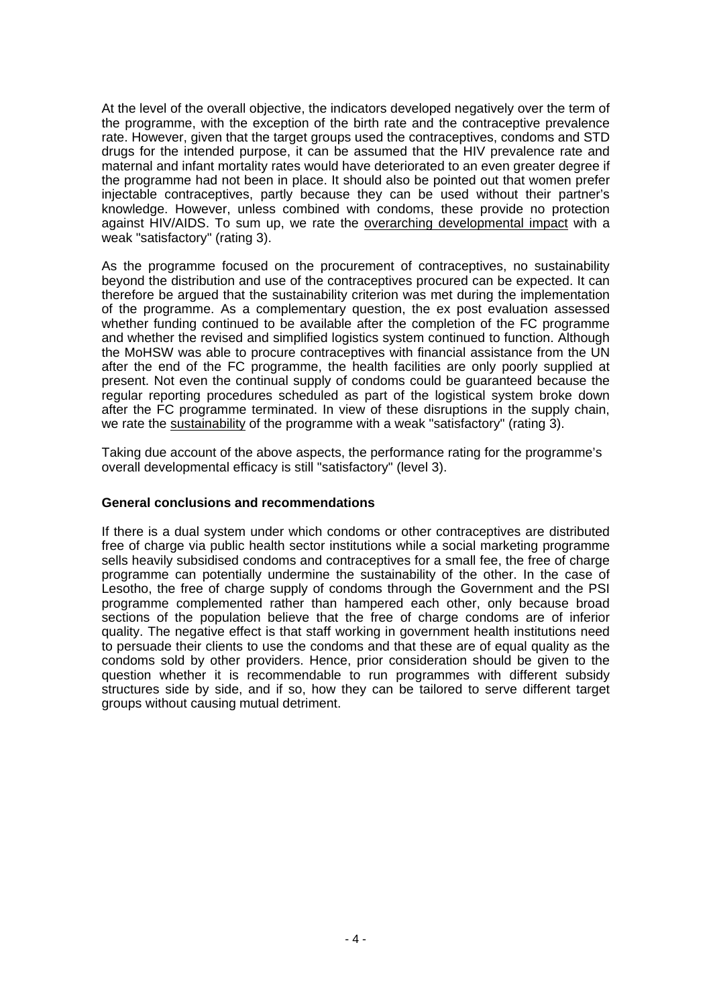At the level of the overall objective, the indicators developed negatively over the term of the programme, with the exception of the birth rate and the contraceptive prevalence rate. However, given that the target groups used the contraceptives, condoms and STD drugs for the intended purpose, it can be assumed that the HIV prevalence rate and maternal and infant mortality rates would have deteriorated to an even greater degree if the programme had not been in place. It should also be pointed out that women prefer injectable contraceptives, partly because they can be used without their partner's knowledge. However, unless combined with condoms, these provide no protection against HIV/AIDS. To sum up, we rate the overarching developmental impact with a weak "satisfactory" (rating 3).

As the programme focused on the procurement of contraceptives, no sustainability beyond the distribution and use of the contraceptives procured can be expected. It can therefore be argued that the sustainability criterion was met during the implementation of the programme. As a complementary question, the ex post evaluation assessed whether funding continued to be available after the completion of the FC programme and whether the revised and simplified logistics system continued to function. Although the MoHSW was able to procure contraceptives with financial assistance from the UN after the end of the FC programme, the health facilities are only poorly supplied at present. Not even the continual supply of condoms could be guaranteed because the regular reporting procedures scheduled as part of the logistical system broke down after the FC programme terminated. In view of these disruptions in the supply chain, we rate the sustainability of the programme with a weak "satisfactory" (rating 3).

Taking due account of the above aspects, the performance rating for the programme's overall developmental efficacy is still "satisfactory" (level 3).

## **General conclusions and recommendations**

If there is a dual system under which condoms or other contraceptives are distributed free of charge via public health sector institutions while a social marketing programme sells heavily subsidised condoms and contraceptives for a small fee, the free of charge programme can potentially undermine the sustainability of the other. In the case of Lesotho, the free of charge supply of condoms through the Government and the PSI programme complemented rather than hampered each other, only because broad sections of the population believe that the free of charge condoms are of inferior quality. The negative effect is that staff working in government health institutions need to persuade their clients to use the condoms and that these are of equal quality as the condoms sold by other providers. Hence, prior consideration should be given to the question whether it is recommendable to run programmes with different subsidy structures side by side, and if so, how they can be tailored to serve different target groups without causing mutual detriment.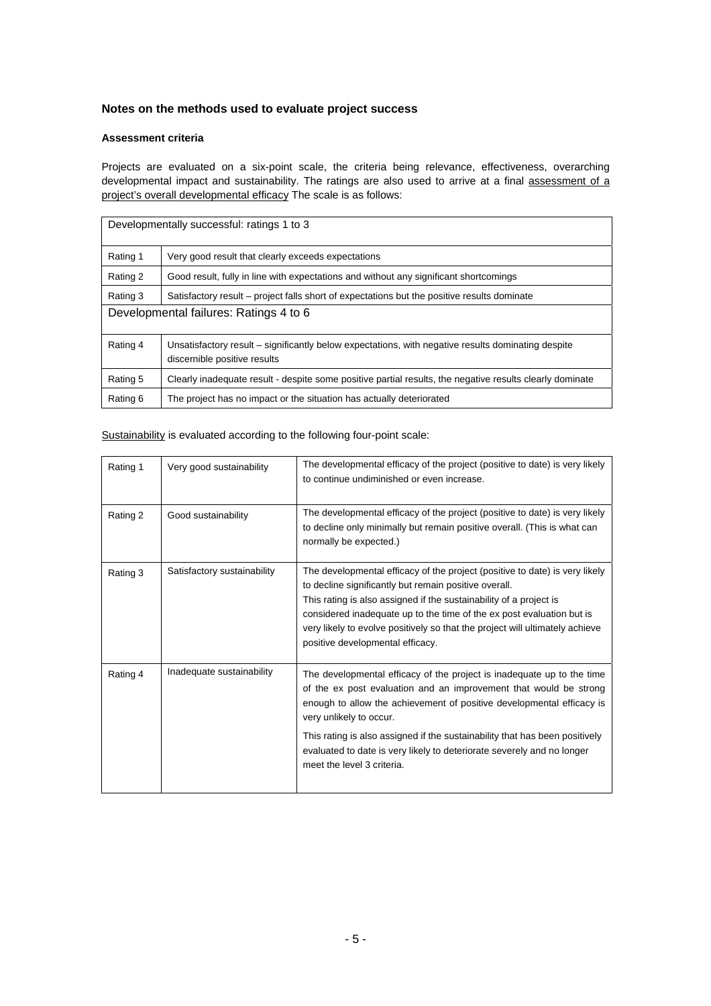## **Notes on the methods used to evaluate project success**

### **Assessment criteria**

Projects are evaluated on a six-point scale, the criteria being relevance, effectiveness, overarching developmental impact and sustainability. The ratings are also used to arrive at a final assessment of a project's overall developmental efficacy The scale is as follows:

| Developmentally successful: ratings 1 to 3 |                                                                                                                                    |  |  |
|--------------------------------------------|------------------------------------------------------------------------------------------------------------------------------------|--|--|
| Rating 1                                   | Very good result that clearly exceeds expectations                                                                                 |  |  |
| Rating 2                                   | Good result, fully in line with expectations and without any significant shortcomings                                              |  |  |
| Rating 3                                   | Satisfactory result – project falls short of expectations but the positive results dominate                                        |  |  |
| Developmental failures: Ratings 4 to 6     |                                                                                                                                    |  |  |
| Rating 4                                   | Unsatisfactory result – significantly below expectations, with negative results dominating despite<br>discernible positive results |  |  |
| Rating 5                                   | Clearly inadequate result - despite some positive partial results, the negative results clearly dominate                           |  |  |
| Rating 6                                   | The project has no impact or the situation has actually deteriorated                                                               |  |  |

| Rating 1 | Very good sustainability    | The developmental efficacy of the project (positive to date) is very likely<br>to continue undiminished or even increase.                                                                                                                                                                                                                                                                               |
|----------|-----------------------------|---------------------------------------------------------------------------------------------------------------------------------------------------------------------------------------------------------------------------------------------------------------------------------------------------------------------------------------------------------------------------------------------------------|
| Rating 2 | Good sustainability         | The developmental efficacy of the project (positive to date) is very likely<br>to decline only minimally but remain positive overall. (This is what can<br>normally be expected.)                                                                                                                                                                                                                       |
| Rating 3 | Satisfactory sustainability | The developmental efficacy of the project (positive to date) is very likely<br>to decline significantly but remain positive overall.<br>This rating is also assigned if the sustainability of a project is<br>considered inadequate up to the time of the ex post evaluation but is<br>very likely to evolve positively so that the project will ultimately achieve<br>positive developmental efficacy. |
| Rating 4 | Inadequate sustainability   | The developmental efficacy of the project is inadequate up to the time<br>of the ex post evaluation and an improvement that would be strong<br>enough to allow the achievement of positive developmental efficacy is<br>very unlikely to occur.                                                                                                                                                         |
|          |                             | This rating is also assigned if the sustainability that has been positively<br>evaluated to date is very likely to deteriorate severely and no longer<br>meet the level 3 criteria.                                                                                                                                                                                                                     |

Sustainability is evaluated according to the following four-point scale: